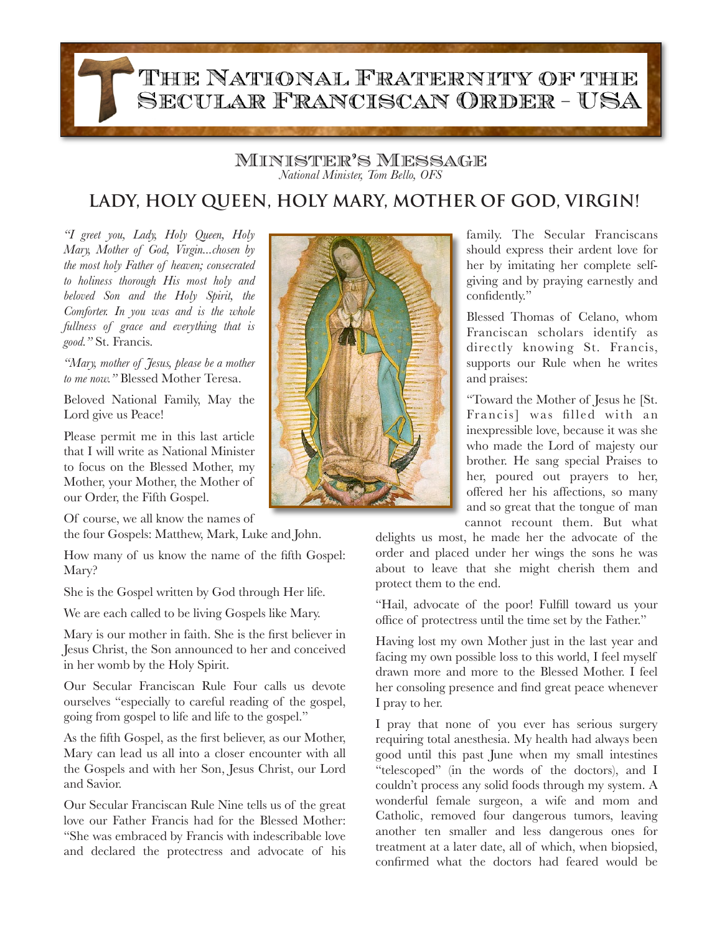## THE NATIONAL FRATERNITY OF THE SECULAR FRANCISCAN ORDER - USA

Minister's Message *National Minister, Tom Bello, OFS*

## **LADY, HOLY QUEEN, HOLY MARY, MOTHER OF GOD, VIRGIN!**

*"I greet you, Lady, Holy Queen, Holy Mary, Mother of God, Virgin...chosen by the most holy Father of heaven; consecrated to holiness thorough His most holy and beloved Son and the Holy Spirit, the Comforter. In you was and is the whole fullness of grace and everything that is good."* St. Francis.

*"Mary, mother of Jesus, please be a mother to me now."* Blessed Mother Teresa.

Beloved National Family, May the Lord give us Peace!

Please permit me in this last article that I will write as National Minister to focus on the Blessed Mother, my Mother, your Mother, the Mother of our Order, the Fifth Gospel.

Of course, we all know the names of

the four Gospels: Matthew, Mark, Luke and John.

How many of us know the name of the fifth Gospel: Mary?

She is the Gospel written by God through Her life.

We are each called to be living Gospels like Mary.

Mary is our mother in faith. She is the first believer in Jesus Christ, the Son announced to her and conceived in her womb by the Holy Spirit.

Our Secular Franciscan Rule Four calls us devote ourselves "especially to careful reading of the gospel, going from gospel to life and life to the gospel."

As the fifth Gospel, as the first believer, as our Mother, Mary can lead us all into a closer encounter with all the Gospels and with her Son, Jesus Christ, our Lord and Savior.

Our Secular Franciscan Rule Nine tells us of the great love our Father Francis had for the Blessed Mother: "She was embraced by Francis with indescribable love and declared the protectress and advocate of his



family. The Secular Franciscans should express their ardent love for her by imitating her complete selfgiving and by praying earnestly and confidently."

Blessed Thomas of Celano, whom Franciscan scholars identify as directly knowing St. Francis, supports our Rule when he writes and praises:

"Toward the Mother of Jesus he [St. Francis] was filled with an inexpressible love, because it was she who made the Lord of majesty our brother. He sang special Praises to her, poured out prayers to her, offered her his affections, so many and so great that the tongue of man cannot recount them. But what

delights us most, he made her the advocate of the order and placed under her wings the sons he was about to leave that she might cherish them and protect them to the end.

"Hail, advocate of the poor! Fulfill toward us your office of protectress until the time set by the Father."

Having lost my own Mother just in the last year and facing my own possible loss to this world, I feel myself drawn more and more to the Blessed Mother. I feel her consoling presence and find great peace whenever I pray to her.

I pray that none of you ever has serious surgery requiring total anesthesia. My health had always been good until this past June when my small intestines "telescoped" (in the words of the doctors), and I couldn't process any solid foods through my system. A wonderful female surgeon, a wife and mom and Catholic, removed four dangerous tumors, leaving another ten smaller and less dangerous ones for treatment at a later date, all of which, when biopsied, confirmed what the doctors had feared would be